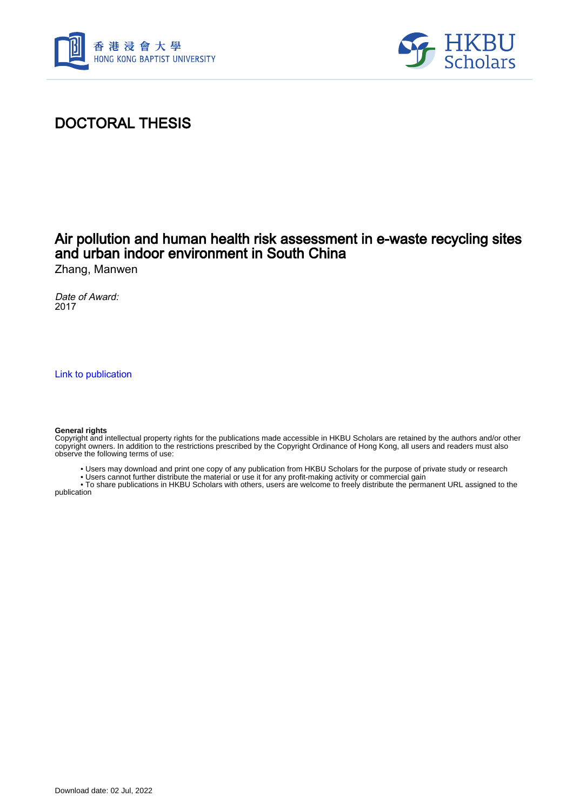



# DOCTORAL THESIS

## Air pollution and human health risk assessment in e-waste recycling sites and urban indoor environment in South China

Zhang, Manwen

Date of Award: 2017

[Link to publication](https://scholars.hkbu.edu.hk/en/studentTheses/c79958ff-c2be-4c51-b97f-48323c288c8d)

#### **General rights**

Copyright and intellectual property rights for the publications made accessible in HKBU Scholars are retained by the authors and/or other copyright owners. In addition to the restrictions prescribed by the Copyright Ordinance of Hong Kong, all users and readers must also observe the following terms of use:

• Users may download and print one copy of any publication from HKBU Scholars for the purpose of private study or research

• Users cannot further distribute the material or use it for any profit-making activity or commercial gain

 • To share publications in HKBU Scholars with others, users are welcome to freely distribute the permanent URL assigned to the publication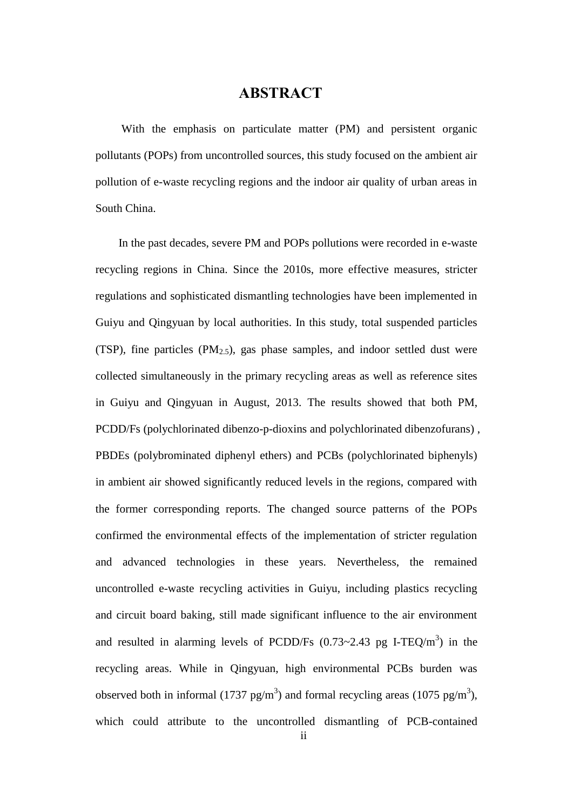### **ABSTRACT**

<span id="page-1-0"></span>With the emphasis on particulate matter (PM) and persistent organic pollutants (POPs) from uncontrolled sources, this study focused on the ambient air pollution of e-waste recycling regions and the indoor air quality of urban areas in South China.

In the past decades, severe PM and POPs pollutions were recorded in e-waste recycling regions in China. Since the 2010s, more effective measures, stricter regulations and sophisticated dismantling technologies have been implemented in Guiyu and Qingyuan by local authorities. In this study, total suspended particles (TSP), fine particles  $(PM_{2.5})$ , gas phase samples, and indoor settled dust were collected simultaneously in the primary recycling areas as well as reference sites in Guiyu and Qingyuan in August, 2013. The results showed that both PM, PCDD/Fs (polychlorinated dibenzo-p-dioxins and polychlorinated dibenzofurans) , PBDEs (polybrominated diphenyl ethers) and PCBs (polychlorinated biphenyls) in ambient air showed significantly reduced levels in the regions, compared with the former corresponding reports. The changed source patterns of the POPs confirmed the environmental effects of the implementation of stricter regulation and advanced technologies in these years. Nevertheless, the remained uncontrolled e-waste recycling activities in Guiyu, including plastics recycling and circuit board baking, still made significant influence to the air environment and resulted in alarming levels of PCDD/Fs  $(0.73 \sim 2.43 \text{ pg I-TEQ/m}^3)$  in the recycling areas. While in Qingyuan, high environmental PCBs burden was observed both in informal (1737 pg/m<sup>3</sup>) and formal recycling areas (1075 pg/m<sup>3</sup>), which could attribute to the uncontrolled dismantling of PCB-contained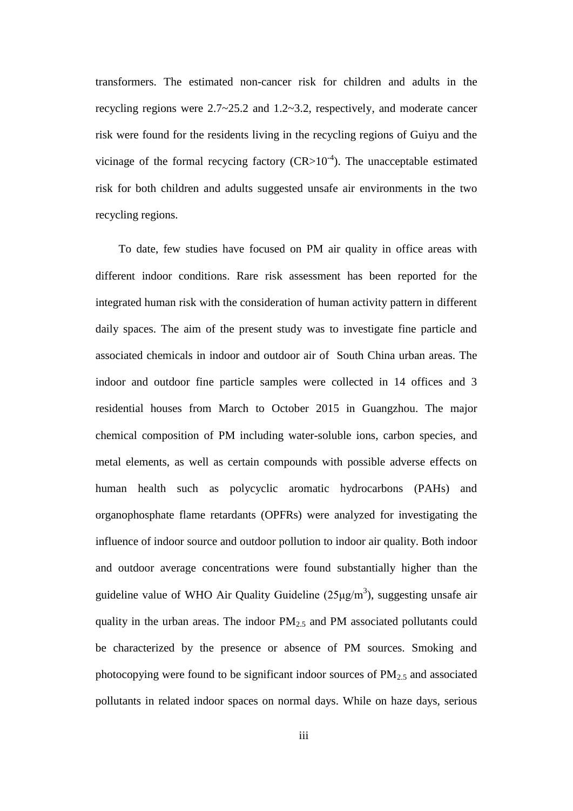transformers. The estimated non-cancer risk for children and adults in the recycling regions were  $2.7 \times 25.2$  and  $1.2 \times 3.2$ , respectively, and moderate cancer risk were found for the residents living in the recycling regions of Guiyu and the vicinage of the formal recycing factory  $(CR>10^{-4})$ . The unacceptable estimated risk for both children and adults suggested unsafe air environments in the two recycling regions.

To date, few studies have focused on PM air quality in office areas with different indoor conditions. Rare risk assessment has been reported for the integrated human risk with the consideration of human activity pattern in different daily spaces. The aim of the present study was to investigate fine particle and associated chemicals in indoor and outdoor air of South China urban areas. The indoor and outdoor fine particle samples were collected in 14 offices and 3 residential houses from March to October 2015 in Guangzhou. The major chemical composition of PM including water-soluble ions, carbon species, and metal elements, as well as certain compounds with possible adverse effects on human health such as polycyclic aromatic hydrocarbons (PAHs) and organophosphate flame retardants (OPFRs) were analyzed for investigating the influence of indoor source and outdoor pollution to indoor air quality. Both indoor and outdoor average concentrations were found substantially higher than the guideline value of WHO Air Quality Guideline  $(25\mu g/m^3)$ , suggesting unsafe air quality in the urban areas. The indoor  $PM_{2.5}$  and PM associated pollutants could be characterized by the presence or absence of PM sources. Smoking and photocopying were found to be significant indoor sources of  $PM<sub>2.5</sub>$  and associated pollutants in related indoor spaces on normal days. While on haze days, serious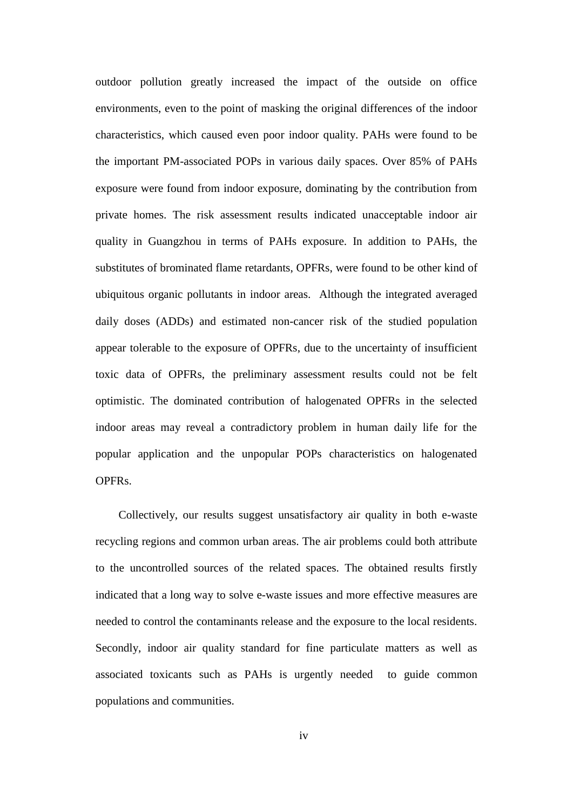outdoor pollution greatly increased the impact of the outside on office environments, even to the point of masking the original differences of the indoor characteristics, which caused even poor indoor quality. PAHs were found to be the important PM-associated POPs in various daily spaces. Over 85% of PAHs exposure were found from indoor exposure, dominating by the contribution from private homes. The risk assessment results indicated unacceptable indoor air quality in Guangzhou in terms of PAHs exposure. In addition to PAHs, the substitutes of brominated flame retardants, OPFRs, were found to be other kind of ubiquitous organic pollutants in indoor areas. Although the integrated averaged daily doses (ADDs) and estimated non-cancer risk of the studied population appear tolerable to the exposure of OPFRs, due to the uncertainty of insufficient toxic data of OPFRs, the preliminary assessment results could not be felt optimistic. The dominated contribution of halogenated OPFRs in the selected indoor areas may reveal a contradictory problem in human daily life for the popular application and the unpopular POPs characteristics on halogenated OPFRs.

Collectively, our results suggest unsatisfactory air quality in both e-waste recycling regions and common urban areas. The air problems could both attribute to the uncontrolled sources of the related spaces. The obtained results firstly indicated that a long way to solve e-waste issues and more effective measures are needed to control the contaminants release and the exposure to the local residents. Secondly, indoor air quality standard for fine particulate matters as well as associated toxicants such as PAHs is urgently needed to guide common populations and communities.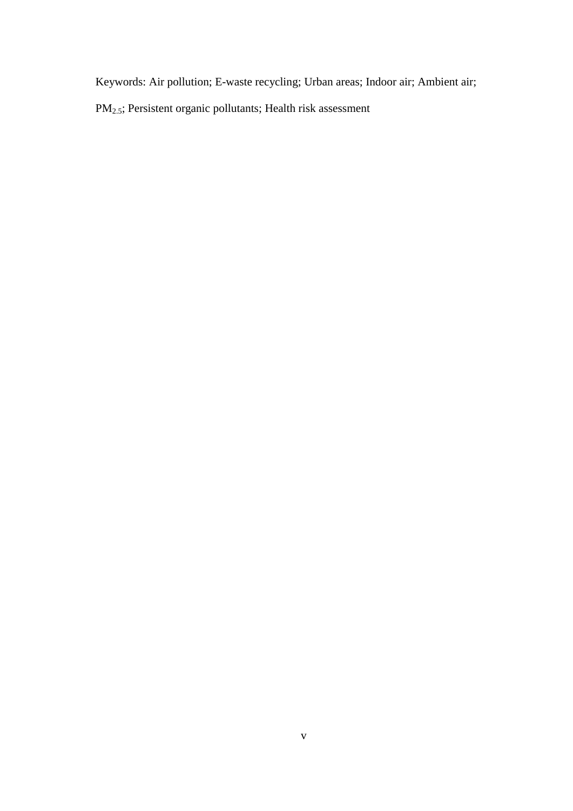Keywords: Air pollution; E-waste recycling; Urban areas; Indoor air; Ambient air;

PM2.5; Persistent organic pollutants; Health risk assessment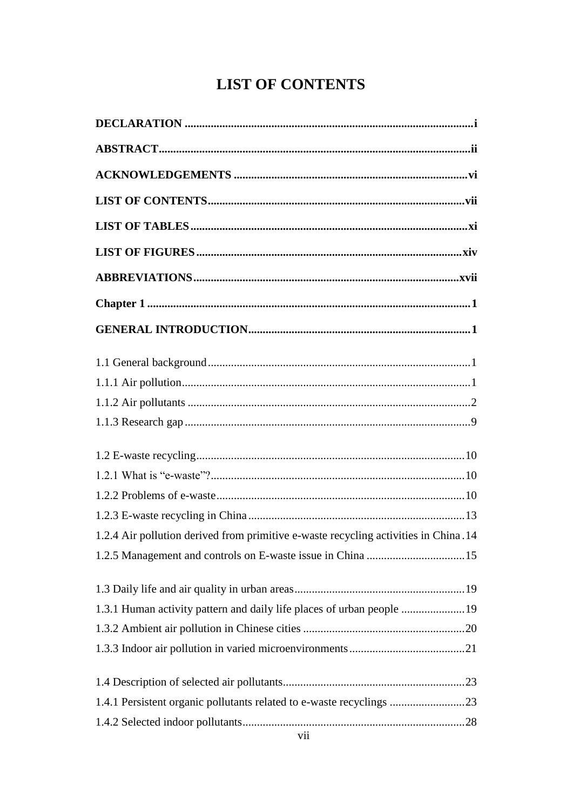# **LIST OF CONTENTS**

<span id="page-5-0"></span>

| 1.2.4 Air pollution derived from primitive e-waste recycling activities in China.14 |
|-------------------------------------------------------------------------------------|
|                                                                                     |
|                                                                                     |
| 1.3.1 Human activity pattern and daily life places of urban people 19               |
|                                                                                     |
|                                                                                     |
|                                                                                     |
| 1.4.1 Persistent organic pollutants related to e-waste recyclings 23                |
|                                                                                     |
|                                                                                     |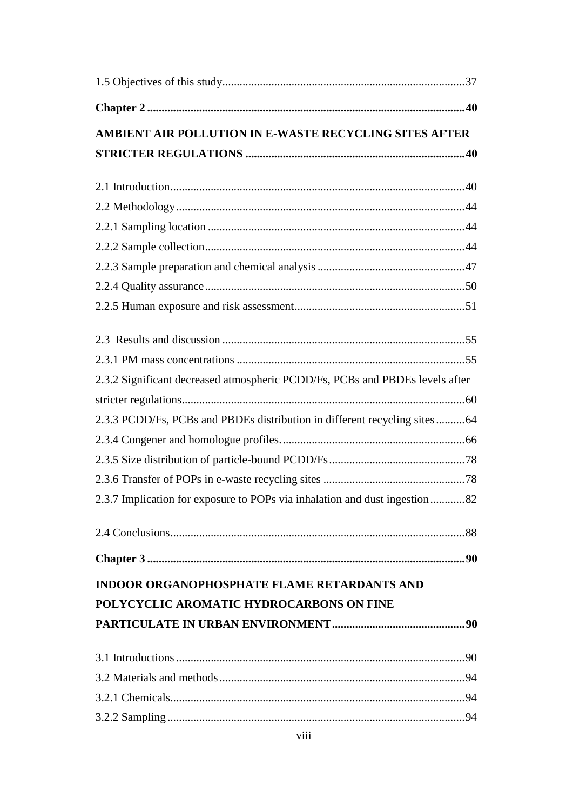| AMBIENT AIR POLLUTION IN E-WASTE RECYCLING SITES AFTER                       |  |
|------------------------------------------------------------------------------|--|
|                                                                              |  |
|                                                                              |  |
|                                                                              |  |
|                                                                              |  |
|                                                                              |  |
|                                                                              |  |
|                                                                              |  |
|                                                                              |  |
|                                                                              |  |
|                                                                              |  |
|                                                                              |  |
| 2.3.2 Significant decreased atmospheric PCDD/Fs, PCBs and PBDEs levels after |  |
|                                                                              |  |
| 2.3.3 PCDD/Fs, PCBs and PBDEs distribution in different recycling sites 64   |  |
|                                                                              |  |
|                                                                              |  |
|                                                                              |  |
| 2.3.7 Implication for exposure to POPs via inhalation and dust ingestion82   |  |
|                                                                              |  |
|                                                                              |  |
| <b>INDOOR ORGANOPHOSPHATE FLAME RETARDANTS AND</b>                           |  |
| POLYCYCLIC AROMATIC HYDROCARBONS ON FINE                                     |  |
|                                                                              |  |
|                                                                              |  |
|                                                                              |  |
|                                                                              |  |
|                                                                              |  |
|                                                                              |  |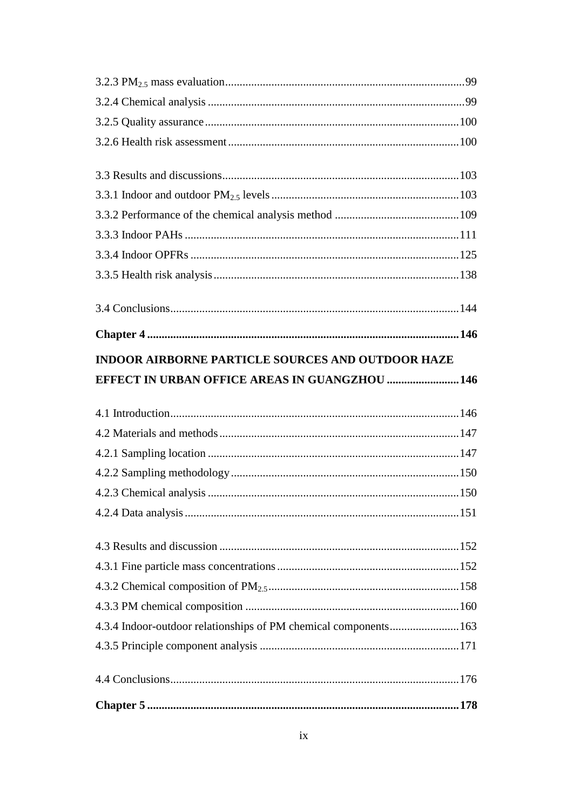| <b>INDOOR AIRBORNE PARTICLE SOURCES AND OUTDOOR HAZE</b>         |  |
|------------------------------------------------------------------|--|
| EFFECT IN URBAN OFFICE AREAS IN GUANGZHOU  146                   |  |
|                                                                  |  |
|                                                                  |  |
|                                                                  |  |
|                                                                  |  |
|                                                                  |  |
|                                                                  |  |
|                                                                  |  |
|                                                                  |  |
|                                                                  |  |
|                                                                  |  |
|                                                                  |  |
| 4.3.4 Indoor-outdoor relationships of PM chemical components 163 |  |
|                                                                  |  |
|                                                                  |  |